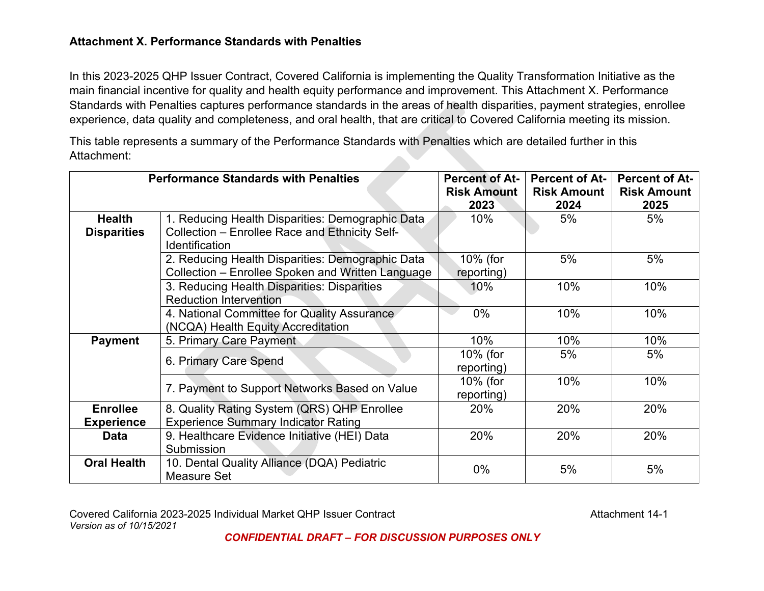# **Attachment X. Performance Standards with Penalties**

In this 2023-2025 QHP Issuer Contract, Covered California is implementing the Quality Transformation Initiative as the main financial incentive for quality and health equity performance and improvement. This Attachment X. Performance Standards with Penalties captures performance standards in the areas of health disparities, payment strategies, enrollee experience, data quality and completeness, and oral health, that are critical to Covered California meeting its mission.

This table represents a summary of the Performance Standards with Penalties which are detailed further in this Attachment:

| <b>Performance Standards with Penalties</b> |                                                   | <b>Percent of At-</b> | <b>Percent of At-</b> | <b>Percent of At-</b> |
|---------------------------------------------|---------------------------------------------------|-----------------------|-----------------------|-----------------------|
|                                             |                                                   | <b>Risk Amount</b>    | <b>Risk Amount</b>    | <b>Risk Amount</b>    |
|                                             |                                                   | 2023                  | 2024                  | 2025                  |
| <b>Health</b>                               | 1. Reducing Health Disparities: Demographic Data  | $10\%$                | 5%                    | 5%                    |
| <b>Disparities</b>                          | Collection - Enrollee Race and Ethnicity Self-    |                       |                       |                       |
|                                             | <b>Identification</b>                             |                       |                       |                       |
|                                             | 2. Reducing Health Disparities: Demographic Data  | 10% (for              | 5%                    | 5%                    |
|                                             | Collection – Enrollee Spoken and Written Language | reporting)            |                       |                       |
|                                             | 3. Reducing Health Disparities: Disparities       | 10%                   | 10%                   | 10%                   |
|                                             | <b>Reduction Intervention</b>                     |                       |                       |                       |
|                                             | 4. National Committee for Quality Assurance       | $0\%$                 | 10%                   | 10%                   |
|                                             | (NCQA) Health Equity Accreditation                |                       |                       |                       |
| <b>Payment</b>                              | 5. Primary Care Payment                           | 10%                   | 10%                   | 10%                   |
|                                             |                                                   | 10% (for              | 5%                    | 5%                    |
|                                             | 6. Primary Care Spend                             | reporting)            |                       |                       |
|                                             |                                                   | 10% (for              | 10%                   | 10%                   |
|                                             | 7. Payment to Support Networks Based on Value     | reporting)            |                       |                       |
| <b>Enrollee</b>                             | 8. Quality Rating System (QRS) QHP Enrollee       | 20%                   | 20%                   | 20%                   |
| <b>Experience</b>                           | <b>Experience Summary Indicator Rating</b>        |                       |                       |                       |
| <b>Data</b>                                 | 9. Healthcare Evidence Initiative (HEI) Data      | 20%                   | 20%                   | 20%                   |
|                                             | Submission                                        |                       |                       |                       |
| <b>Oral Health</b>                          | 10. Dental Quality Alliance (DQA) Pediatric       | $0\%$                 | 5%                    | 5%                    |
|                                             | Measure Set                                       |                       |                       |                       |

Covered California 2023-2025 Individual Market QHP Issuer Contract Contract Covered California 2023-2025 Individual Market QHP Issuer Contract *Version as of 10/15/2021*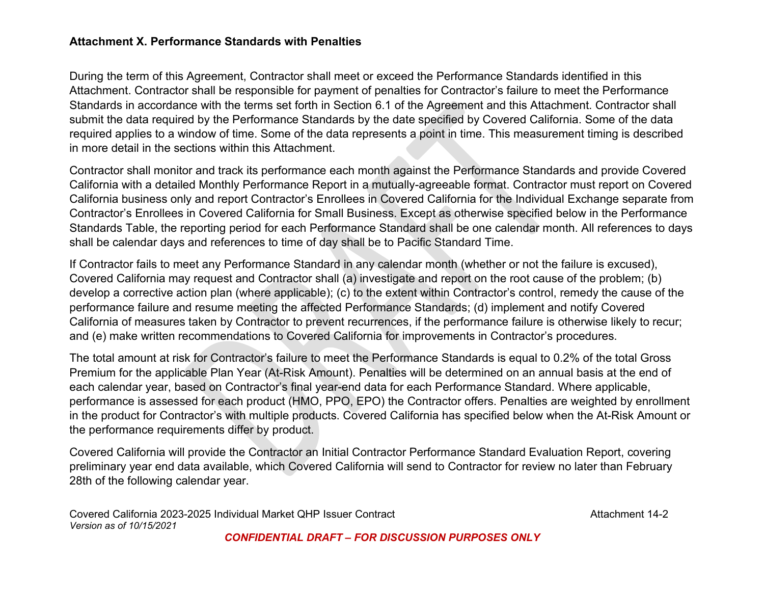# **Attachment X. Performance Standards with Penalties**

During the term of this Agreement, Contractor shall meet or exceed the Performance Standards identified in this Attachment. Contractor shall be responsible for payment of penalties for Contractor's failure to meet the Performance Standards in accordance with the terms set forth in Section 6.1 of the Agreement and this Attachment. Contractor shall submit the data required by the Performance Standards by the date specified by Covered California. Some of the data required applies to a window of time. Some of the data represents a point in time. This measurement timing is described in more detail in the sections within this Attachment.

Contractor shall monitor and track its performance each month against the Performance Standards and provide Covered California with a detailed Monthly Performance Report in a mutually-agreeable format. Contractor must report on Covered California business only and report Contractor's Enrollees in Covered California for the Individual Exchange separate from Contractor's Enrollees in Covered California for Small Business. Except as otherwise specified below in the Performance Standards Table, the reporting period for each Performance Standard shall be one calendar month. All references to days shall be calendar days and references to time of day shall be to Pacific Standard Time.

If Contractor fails to meet any Performance Standard in any calendar month (whether or not the failure is excused), Covered California may request and Contractor shall (a) investigate and report on the root cause of the problem; (b) develop a corrective action plan (where applicable); (c) to the extent within Contractor's control, remedy the cause of the performance failure and resume meeting the affected Performance Standards; (d) implement and notify Covered California of measures taken by Contractor to prevent recurrences, if the performance failure is otherwise likely to recur; and (e) make written recommendations to Covered California for improvements in Contractor's procedures.

The total amount at risk for Contractor's failure to meet the Performance Standards is equal to 0.2% of the total Gross Premium for the applicable Plan Year (At-Risk Amount). Penalties will be determined on an annual basis at the end of each calendar year, based on Contractor's final year-end data for each Performance Standard. Where applicable, performance is assessed for each product (HMO, PPO, EPO) the Contractor offers. Penalties are weighted by enrollment in the product for Contractor's with multiple products. Covered California has specified below when the At-Risk Amount or the performance requirements differ by product.

Covered California will provide the Contractor an Initial Contractor Performance Standard Evaluation Report, covering preliminary year end data available, which Covered California will send to Contractor for review no later than February 28th of the following calendar year.

Covered California 2023-2025 Individual Market QHP Issuer Contract Contract Covered California 2023-2025 Individual Market QHP Issuer Contract *Version as of 10/15/2021*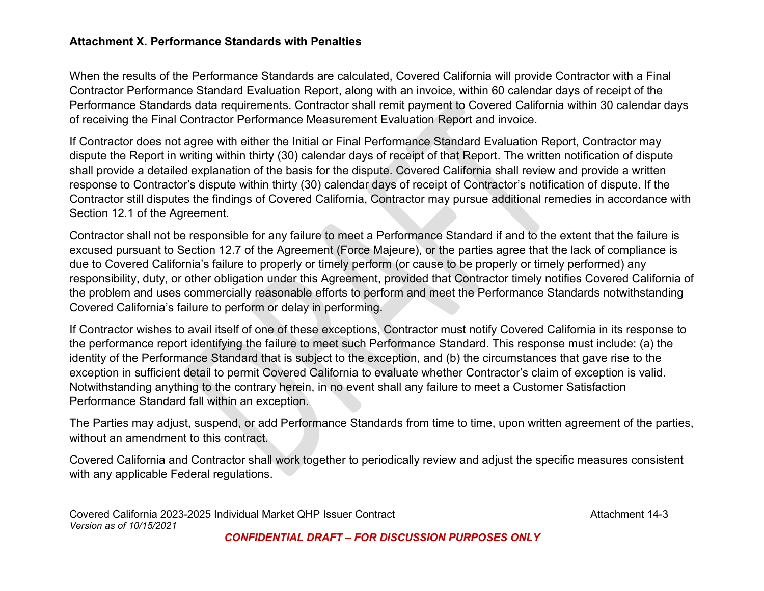# **Attachment X. Performance Standards with Penalties**

When the results of the Performance Standards are calculated, Covered California will provide Contractor with a Final Contractor Performance Standard Evaluation Report, along with an invoice, within 60 calendar days of receipt of the Performance Standards data requirements. Contractor shall remit payment to Covered California within 30 calendar days of receiving the Final Contractor Performance Measurement Evaluation Report and invoice.

If Contractor does not agree with either the Initial or Final Performance Standard Evaluation Report, Contractor may dispute the Report in writing within thirty (30) calendar days of receipt of that Report. The written notification of dispute shall provide a detailed explanation of the basis for the dispute. Covered California shall review and provide a written response to Contractor's dispute within thirty (30) calendar days of receipt of Contractor's notification of dispute. If the Contractor still disputes the findings of Covered California, Contractor may pursue additional remedies in accordance with Section 12.1 of the Agreement.

Contractor shall not be responsible for any failure to meet a Performance Standard if and to the extent that the failure is excused pursuant to Section 12.7 of the Agreement (Force Majeure), or the parties agree that the lack of compliance is due to Covered California's failure to properly or timely perform (or cause to be properly or timely performed) any responsibility, duty, or other obligation under this Agreement, provided that Contractor timely notifies Covered California of the problem and uses commercially reasonable efforts to perform and meet the Performance Standards notwithstanding Covered California's failure to perform or delay in performing.

If Contractor wishes to avail itself of one of these exceptions, Contractor must notify Covered California in its response to the performance report identifying the failure to meet such Performance Standard. This response must include: (a) the identity of the Performance Standard that is subject to the exception, and (b) the circumstances that gave rise to the exception in sufficient detail to permit Covered California to evaluate whether Contractor's claim of exception is valid. Notwithstanding anything to the contrary herein, in no event shall any failure to meet a Customer Satisfaction Performance Standard fall within an exception.

The Parties may adjust, suspend, or add Performance Standards from time to time, upon written agreement of the parties, without an amendment to this contract.

Covered California and Contractor shall work together to periodically review and adjust the specific measures consistent with any applicable Federal regulations.

Covered California 2023-2025 Individual Market QHP Issuer Contract Contract Covered California 2023-2025 Individual Market QHP Issuer Contract *Version as of 10/15/2021*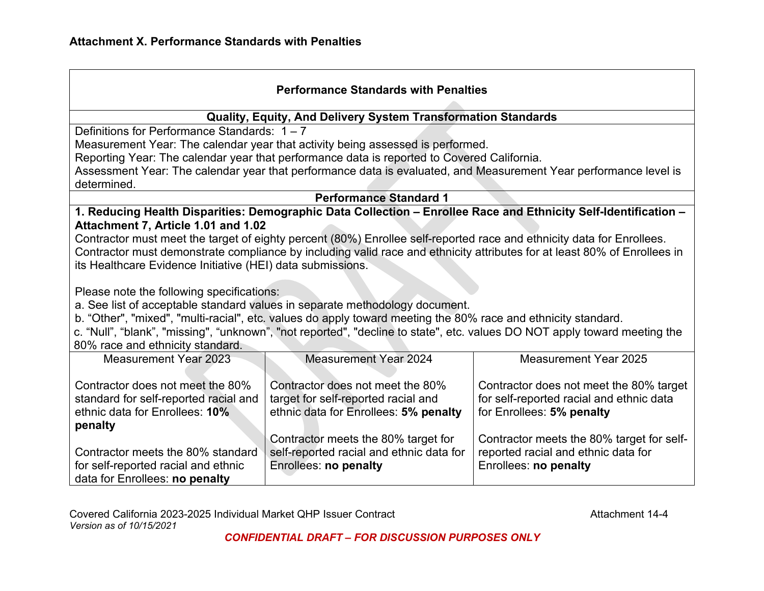| <b>Performance Standards with Penalties</b>                                                                                                                                                                                                                                                                                                                                                                |                                                                                                                       |                                                                                                                          |  |
|------------------------------------------------------------------------------------------------------------------------------------------------------------------------------------------------------------------------------------------------------------------------------------------------------------------------------------------------------------------------------------------------------------|-----------------------------------------------------------------------------------------------------------------------|--------------------------------------------------------------------------------------------------------------------------|--|
|                                                                                                                                                                                                                                                                                                                                                                                                            | Quality, Equity, And Delivery System Transformation Standards                                                         |                                                                                                                          |  |
| Definitions for Performance Standards: $1 - 7$                                                                                                                                                                                                                                                                                                                                                             |                                                                                                                       |                                                                                                                          |  |
|                                                                                                                                                                                                                                                                                                                                                                                                            | Measurement Year: The calendar year that activity being assessed is performed.                                        |                                                                                                                          |  |
|                                                                                                                                                                                                                                                                                                                                                                                                            | Reporting Year: The calendar year that performance data is reported to Covered California.                            |                                                                                                                          |  |
|                                                                                                                                                                                                                                                                                                                                                                                                            |                                                                                                                       | Assessment Year: The calendar year that performance data is evaluated, and Measurement Year performance level is         |  |
| determined.                                                                                                                                                                                                                                                                                                                                                                                                |                                                                                                                       |                                                                                                                          |  |
|                                                                                                                                                                                                                                                                                                                                                                                                            | <b>Performance Standard 1</b>                                                                                         |                                                                                                                          |  |
|                                                                                                                                                                                                                                                                                                                                                                                                            |                                                                                                                       | 1. Reducing Health Disparities: Demographic Data Collection - Enrollee Race and Ethnicity Self-Identification -          |  |
| Attachment 7, Article 1.01 and 1.02                                                                                                                                                                                                                                                                                                                                                                        |                                                                                                                       |                                                                                                                          |  |
|                                                                                                                                                                                                                                                                                                                                                                                                            | Contractor must meet the target of eighty percent (80%) Enrollee self-reported race and ethnicity data for Enrollees. |                                                                                                                          |  |
|                                                                                                                                                                                                                                                                                                                                                                                                            |                                                                                                                       | Contractor must demonstrate compliance by including valid race and ethnicity attributes for at least 80% of Enrollees in |  |
| its Healthcare Evidence Initiative (HEI) data submissions.                                                                                                                                                                                                                                                                                                                                                 |                                                                                                                       |                                                                                                                          |  |
| Please note the following specifications:<br>a. See list of acceptable standard values in separate methodology document.<br>b. "Other", "mixed", "multi-racial", etc. values do apply toward meeting the 80% race and ethnicity standard.<br>c. "Null", "blank", "missing", "unknown", "not reported", "decline to state", etc. values DO NOT apply toward meeting the<br>80% race and ethnicity standard. |                                                                                                                       |                                                                                                                          |  |
| <b>Measurement Year 2023</b>                                                                                                                                                                                                                                                                                                                                                                               | <b>Measurement Year 2024</b>                                                                                          | <b>Measurement Year 2025</b>                                                                                             |  |
| Contractor does not meet the 80%<br>standard for self-reported racial and<br>ethnic data for Enrollees: 10%<br>penalty                                                                                                                                                                                                                                                                                     | Contractor does not meet the 80%<br>target for self-reported racial and<br>ethnic data for Enrollees: 5% penalty      | Contractor does not meet the 80% target<br>for self-reported racial and ethnic data<br>for Enrollees: 5% penalty         |  |
|                                                                                                                                                                                                                                                                                                                                                                                                            | Contractor meets the 80% target for                                                                                   | Contractor meets the 80% target for self-                                                                                |  |
| Contractor meets the 80% standard                                                                                                                                                                                                                                                                                                                                                                          | self-reported racial and ethnic data for                                                                              | reported racial and ethnic data for                                                                                      |  |
| for self-reported racial and ethnic<br>data for Enrollees: no penalty                                                                                                                                                                                                                                                                                                                                      | Enrollees: no penalty                                                                                                 | Enrollees: no penalty                                                                                                    |  |
|                                                                                                                                                                                                                                                                                                                                                                                                            |                                                                                                                       |                                                                                                                          |  |

Covered California 2023-2025 Individual Market QHP Issuer Contract Contract Covered California 2023-2025 Individual Market QHP Issuer Contract *Version as of 10/15/2021*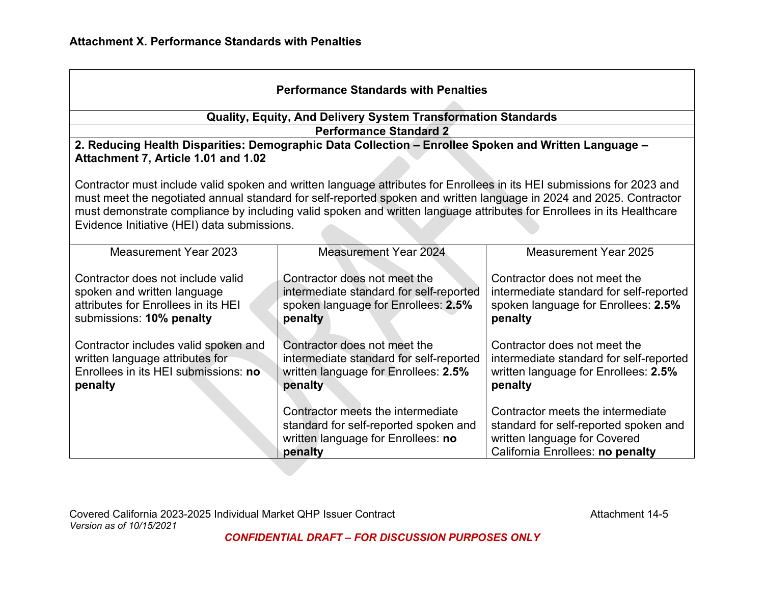| <b>Performance Standards with Penalties</b>                                                                                                                                                                                                                                                                                                                                                                           |                                                                                                                             |                                                                                                                                                |  |
|-----------------------------------------------------------------------------------------------------------------------------------------------------------------------------------------------------------------------------------------------------------------------------------------------------------------------------------------------------------------------------------------------------------------------|-----------------------------------------------------------------------------------------------------------------------------|------------------------------------------------------------------------------------------------------------------------------------------------|--|
|                                                                                                                                                                                                                                                                                                                                                                                                                       | <b>Quality, Equity, And Delivery System Transformation Standards</b>                                                        |                                                                                                                                                |  |
|                                                                                                                                                                                                                                                                                                                                                                                                                       | <b>Performance Standard 2</b>                                                                                               |                                                                                                                                                |  |
| Attachment 7, Article 1.01 and 1.02                                                                                                                                                                                                                                                                                                                                                                                   | 2. Reducing Health Disparities: Demographic Data Collection - Enrollee Spoken and Written Language -                        |                                                                                                                                                |  |
| Contractor must include valid spoken and written language attributes for Enrollees in its HEI submissions for 2023 and<br>must meet the negotiated annual standard for self-reported spoken and written language in 2024 and 2025. Contractor<br>must demonstrate compliance by including valid spoken and written language attributes for Enrollees in its Healthcare<br>Evidence Initiative (HEI) data submissions. |                                                                                                                             |                                                                                                                                                |  |
| <b>Measurement Year 2023</b>                                                                                                                                                                                                                                                                                                                                                                                          | <b>Measurement Year 2024</b>                                                                                                | <b>Measurement Year 2025</b>                                                                                                                   |  |
| Contractor does not include valid<br>spoken and written language<br>attributes for Enrollees in its HEI<br>submissions: 10% penalty                                                                                                                                                                                                                                                                                   | Contractor does not meet the<br>intermediate standard for self-reported<br>spoken language for Enrollees: 2.5%<br>penalty   | Contractor does not meet the<br>intermediate standard for self-reported<br>spoken language for Enrollees: 2.5%<br>penalty                      |  |
| Contractor includes valid spoken and<br>written language attributes for<br>Enrollees in its HEI submissions: no<br>penalty                                                                                                                                                                                                                                                                                            | Contractor does not meet the<br>intermediate standard for self-reported<br>written language for Enrollees: 2.5%<br>penalty  | Contractor does not meet the<br>intermediate standard for self-reported<br>written language for Enrollees: 2.5%<br>penalty                     |  |
|                                                                                                                                                                                                                                                                                                                                                                                                                       | Contractor meets the intermediate<br>standard for self-reported spoken and<br>written language for Enrollees: no<br>penalty | Contractor meets the intermediate<br>standard for self-reported spoken and<br>written language for Covered<br>California Enrollees: no penalty |  |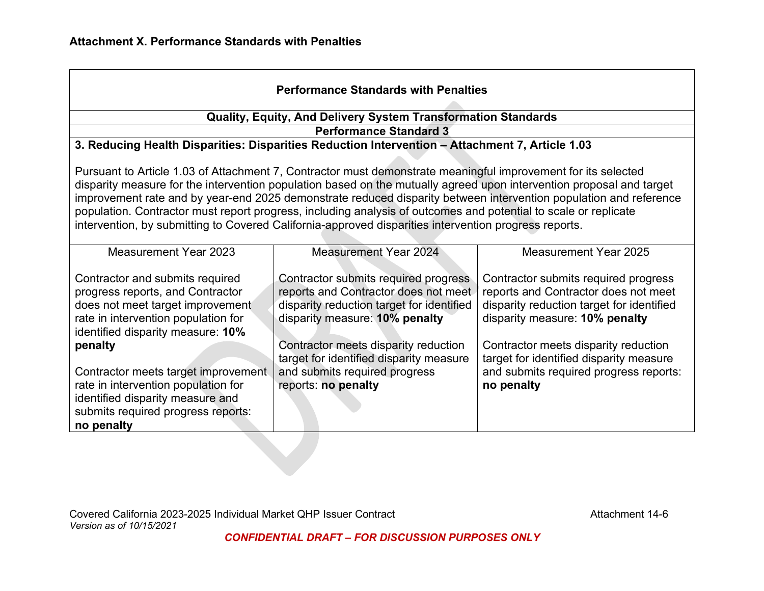| <b>Performance Standards with Penalties</b>                                                                                                                                                                                                                                                                                                                                                                                                                                                                                                                                            |                                                                                                                                                                                                                                                                                                        |                                                                                                                                                                                                                                                                                                        |  |
|----------------------------------------------------------------------------------------------------------------------------------------------------------------------------------------------------------------------------------------------------------------------------------------------------------------------------------------------------------------------------------------------------------------------------------------------------------------------------------------------------------------------------------------------------------------------------------------|--------------------------------------------------------------------------------------------------------------------------------------------------------------------------------------------------------------------------------------------------------------------------------------------------------|--------------------------------------------------------------------------------------------------------------------------------------------------------------------------------------------------------------------------------------------------------------------------------------------------------|--|
|                                                                                                                                                                                                                                                                                                                                                                                                                                                                                                                                                                                        | <b>Quality, Equity, And Delivery System Transformation Standards</b>                                                                                                                                                                                                                                   |                                                                                                                                                                                                                                                                                                        |  |
|                                                                                                                                                                                                                                                                                                                                                                                                                                                                                                                                                                                        | <b>Performance Standard 3</b>                                                                                                                                                                                                                                                                          |                                                                                                                                                                                                                                                                                                        |  |
|                                                                                                                                                                                                                                                                                                                                                                                                                                                                                                                                                                                        | 3. Reducing Health Disparities: Disparities Reduction Intervention - Attachment 7, Article 1.03                                                                                                                                                                                                        |                                                                                                                                                                                                                                                                                                        |  |
| Pursuant to Article 1.03 of Attachment 7, Contractor must demonstrate meaningful improvement for its selected<br>disparity measure for the intervention population based on the mutually agreed upon intervention proposal and target<br>improvement rate and by year-end 2025 demonstrate reduced disparity between intervention population and reference<br>population. Contractor must report progress, including analysis of outcomes and potential to scale or replicate<br>intervention, by submitting to Covered California-approved disparities intervention progress reports. |                                                                                                                                                                                                                                                                                                        |                                                                                                                                                                                                                                                                                                        |  |
| <b>Measurement Year 2023</b>                                                                                                                                                                                                                                                                                                                                                                                                                                                                                                                                                           | <b>Measurement Year 2024</b>                                                                                                                                                                                                                                                                           | <b>Measurement Year 2025</b>                                                                                                                                                                                                                                                                           |  |
| Contractor and submits required<br>progress reports, and Contractor<br>does not meet target improvement<br>rate in intervention population for<br>identified disparity measure: 10%<br>penalty<br>Contractor meets target improvement<br>rate in intervention population for<br>identified disparity measure and<br>submits required progress reports:<br>no penalty                                                                                                                                                                                                                   | Contractor submits required progress<br>reports and Contractor does not meet<br>disparity reduction target for identified<br>disparity measure: 10% penalty<br>Contractor meets disparity reduction<br>target for identified disparity measure<br>and submits required progress<br>reports: no penalty | Contractor submits required progress<br>reports and Contractor does not meet<br>disparity reduction target for identified<br>disparity measure: 10% penalty<br>Contractor meets disparity reduction<br>target for identified disparity measure<br>and submits required progress reports:<br>no penalty |  |

Covered California 2023-2025 Individual Market QHP Issuer Contract **Accord Accord Accord Attachment 14-6** *Version as of 10/15/2021*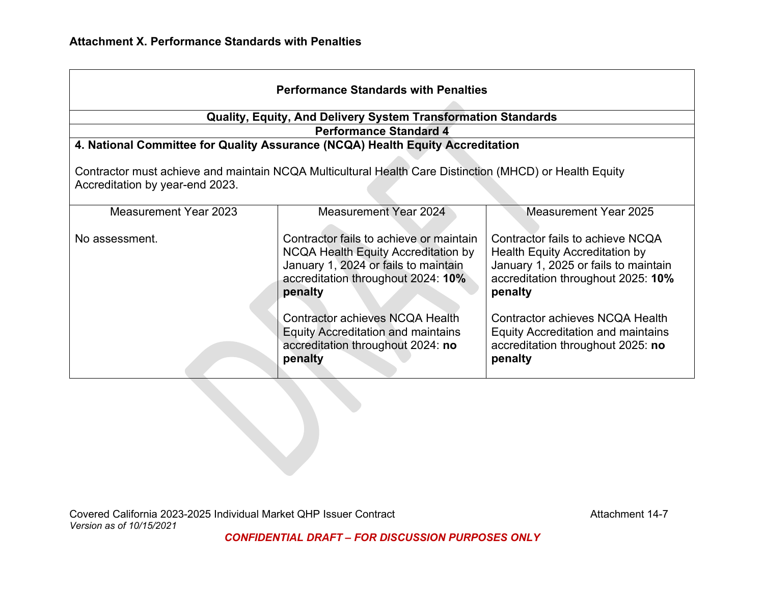| <b>Performance Standards with Penalties</b>                                                                                                |                                                                                                                                                                         |                                                                                                                                                             |  |
|--------------------------------------------------------------------------------------------------------------------------------------------|-------------------------------------------------------------------------------------------------------------------------------------------------------------------------|-------------------------------------------------------------------------------------------------------------------------------------------------------------|--|
|                                                                                                                                            | <b>Quality, Equity, And Delivery System Transformation Standards</b>                                                                                                    |                                                                                                                                                             |  |
|                                                                                                                                            | <b>Performance Standard 4</b>                                                                                                                                           |                                                                                                                                                             |  |
|                                                                                                                                            | 4. National Committee for Quality Assurance (NCQA) Health Equity Accreditation                                                                                          |                                                                                                                                                             |  |
| Contractor must achieve and maintain NCQA Multicultural Health Care Distinction (MHCD) or Health Equity<br>Accreditation by year-end 2023. |                                                                                                                                                                         |                                                                                                                                                             |  |
| <b>Measurement Year 2023</b>                                                                                                               | <b>Measurement Year 2024</b>                                                                                                                                            | Measurement Year 2025                                                                                                                                       |  |
| No assessment.                                                                                                                             | Contractor fails to achieve or maintain<br>NCQA Health Equity Accreditation by<br>January 1, 2024 or fails to maintain<br>accreditation throughout 2024: 10%<br>penalty | Contractor fails to achieve NCQA<br>Health Equity Accreditation by<br>January 1, 2025 or fails to maintain<br>accreditation throughout 2025: 10%<br>penalty |  |
|                                                                                                                                            | Contractor achieves NCQA Health<br><b>Equity Accreditation and maintains</b><br>accreditation throughout 2024: no<br>penalty                                            | Contractor achieves NCQA Health<br><b>Equity Accreditation and maintains</b><br>accreditation throughout 2025: no<br>penalty                                |  |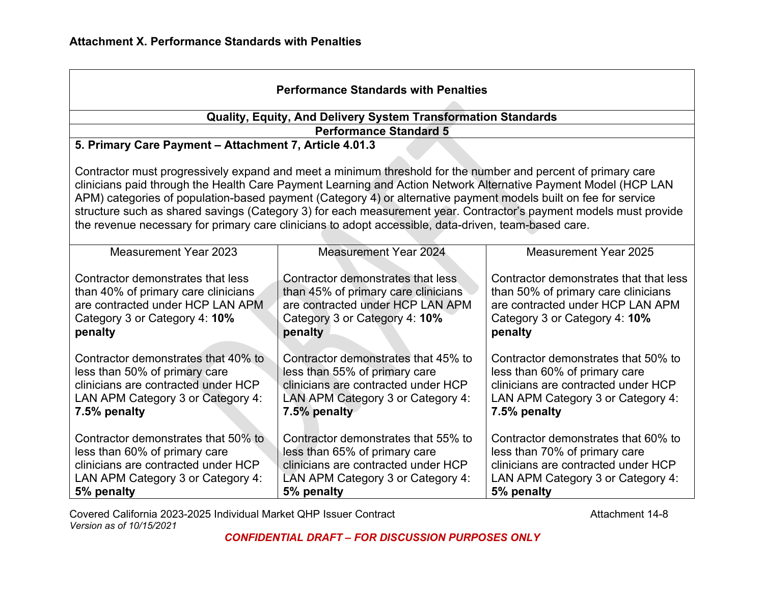| <b>Performance Standards with Penalties</b>                                                                                                                                                                                                                                                                                                                                                                                                                                                                                                                                    |                                                                                                                                                                  |                                                                                                                                                                  |  |
|--------------------------------------------------------------------------------------------------------------------------------------------------------------------------------------------------------------------------------------------------------------------------------------------------------------------------------------------------------------------------------------------------------------------------------------------------------------------------------------------------------------------------------------------------------------------------------|------------------------------------------------------------------------------------------------------------------------------------------------------------------|------------------------------------------------------------------------------------------------------------------------------------------------------------------|--|
|                                                                                                                                                                                                                                                                                                                                                                                                                                                                                                                                                                                | Quality, Equity, And Delivery System Transformation Standards                                                                                                    |                                                                                                                                                                  |  |
|                                                                                                                                                                                                                                                                                                                                                                                                                                                                                                                                                                                | <b>Performance Standard 5</b>                                                                                                                                    |                                                                                                                                                                  |  |
| 5. Primary Care Payment - Attachment 7, Article 4.01.3                                                                                                                                                                                                                                                                                                                                                                                                                                                                                                                         |                                                                                                                                                                  |                                                                                                                                                                  |  |
| Contractor must progressively expand and meet a minimum threshold for the number and percent of primary care<br>clinicians paid through the Health Care Payment Learning and Action Network Alternative Payment Model (HCP LAN<br>APM) categories of population-based payment (Category 4) or alternative payment models built on fee for service<br>structure such as shared savings (Category 3) for each measurement year. Contractor's payment models must provide<br>the revenue necessary for primary care clinicians to adopt accessible, data-driven, team-based care. |                                                                                                                                                                  |                                                                                                                                                                  |  |
| <b>Measurement Year 2023</b>                                                                                                                                                                                                                                                                                                                                                                                                                                                                                                                                                   | <b>Measurement Year 2024</b>                                                                                                                                     | <b>Measurement Year 2025</b>                                                                                                                                     |  |
| Contractor demonstrates that less<br>than 40% of primary care clinicians<br>are contracted under HCP LAN APM<br>Category 3 or Category 4: 10%<br>penalty                                                                                                                                                                                                                                                                                                                                                                                                                       | Contractor demonstrates that less<br>than 45% of primary care clinicians<br>are contracted under HCP LAN APM<br>Category 3 or Category 4: 10%<br>penalty         | Contractor demonstrates that that less<br>than 50% of primary care clinicians<br>are contracted under HCP LAN APM<br>Category 3 or Category 4: 10%<br>penalty    |  |
| Contractor demonstrates that 40% to<br>less than 50% of primary care<br>clinicians are contracted under HCP<br>LAN APM Category 3 or Category 4:<br>7.5% penalty                                                                                                                                                                                                                                                                                                                                                                                                               | Contractor demonstrates that 45% to<br>less than 55% of primary care<br>clinicians are contracted under HCP<br>LAN APM Category 3 or Category 4:<br>7.5% penalty | Contractor demonstrates that 50% to<br>less than 60% of primary care<br>clinicians are contracted under HCP<br>LAN APM Category 3 or Category 4:<br>7.5% penalty |  |
| Contractor demonstrates that 50% to<br>less than 60% of primary care<br>clinicians are contracted under HCP<br>LAN APM Category 3 or Category 4:<br>5% penalty                                                                                                                                                                                                                                                                                                                                                                                                                 | Contractor demonstrates that 55% to<br>less than 65% of primary care<br>clinicians are contracted under HCP<br>LAN APM Category 3 or Category 4:<br>5% penalty   | Contractor demonstrates that 60% to<br>less than 70% of primary care<br>clinicians are contracted under HCP<br>LAN APM Category 3 or Category 4:<br>5% penalty   |  |

Covered California 2023-2025 Individual Market QHP Issuer Contract Contract Covered California 2023-2025 Individual Market QHP Issuer Contract *Version as of 10/15/2021*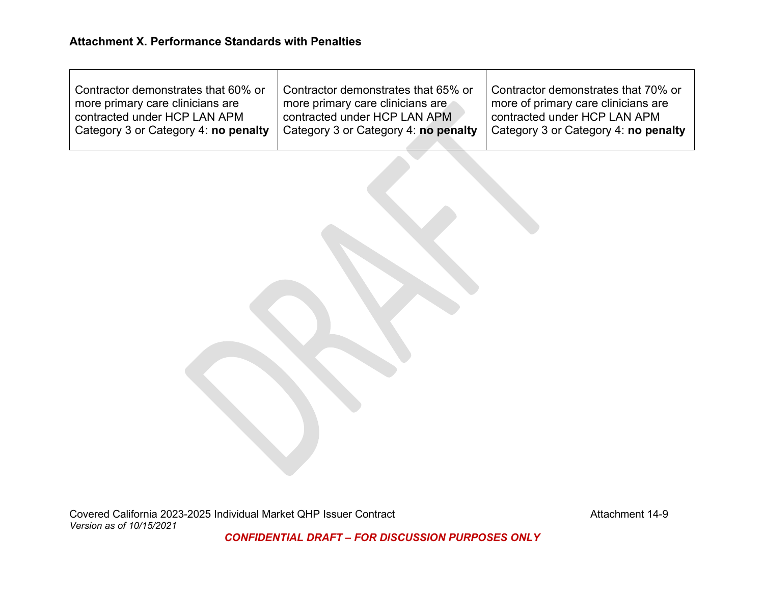$\top$ 

| Contractor demonstrates that 60% or  | Contractor demonstrates that 65% or  | Contractor demonstrates that 70% or  |
|--------------------------------------|--------------------------------------|--------------------------------------|
| more primary care clinicians are     | more primary care clinicians are     | more of primary care clinicians are  |
| contracted under HCP LAN APM         | contracted under HCP LAN APM         | contracted under HCP LAN APM         |
| Category 3 or Category 4: no penalty | Category 3 or Category 4: no penalty | Category 3 or Category 4: no penalty |

 $\top$ 

Covered California 2023-2025 Individual Market QHP Issuer Contract Contract Covered California 2023-2025 Individual Market QHP Issuer Contract *Version as of 10/15/2021*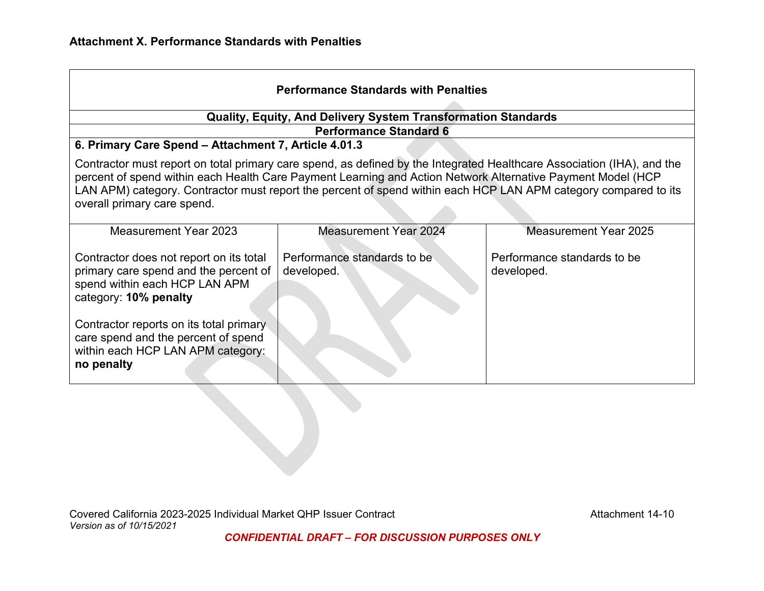| <b>Performance Standards with Penalties</b>                                                                                                                                                                                                                                                                                                                                             |                                                                                                |                                           |  |
|-----------------------------------------------------------------------------------------------------------------------------------------------------------------------------------------------------------------------------------------------------------------------------------------------------------------------------------------------------------------------------------------|------------------------------------------------------------------------------------------------|-------------------------------------------|--|
|                                                                                                                                                                                                                                                                                                                                                                                         | Quality, Equity, And Delivery System Transformation Standards<br><b>Performance Standard 6</b> |                                           |  |
| 6. Primary Care Spend - Attachment 7, Article 4.01.3                                                                                                                                                                                                                                                                                                                                    |                                                                                                |                                           |  |
| Contractor must report on total primary care spend, as defined by the Integrated Healthcare Association (IHA), and the<br>percent of spend within each Health Care Payment Learning and Action Network Alternative Payment Model (HCP<br>LAN APM) category. Contractor must report the percent of spend within each HCP LAN APM category compared to its<br>overall primary care spend. |                                                                                                |                                           |  |
| <b>Measurement Year 2023</b>                                                                                                                                                                                                                                                                                                                                                            | <b>Measurement Year 2024</b>                                                                   | <b>Measurement Year 2025</b>              |  |
| Contractor does not report on its total<br>primary care spend and the percent of<br>spend within each HCP LAN APM<br>category: 10% penalty                                                                                                                                                                                                                                              | Performance standards to be<br>developed.                                                      | Performance standards to be<br>developed. |  |
| Contractor reports on its total primary<br>care spend and the percent of spend<br>within each HCP LAN APM category:<br>no penalty                                                                                                                                                                                                                                                       |                                                                                                |                                           |  |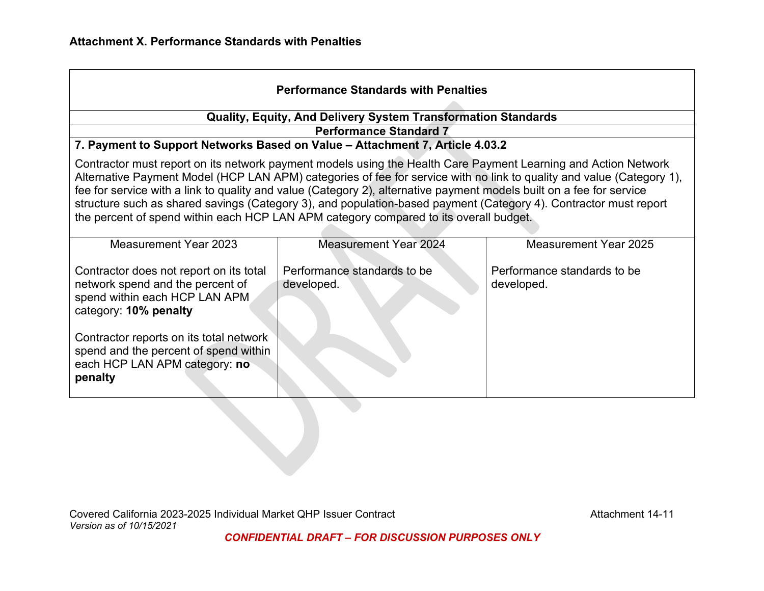| <b>Performance Standards with Penalties</b>                                                                                                                                                                                                                                                                                                                                                                                                                                                                                                                                  |                                                                                                               |                                           |  |
|------------------------------------------------------------------------------------------------------------------------------------------------------------------------------------------------------------------------------------------------------------------------------------------------------------------------------------------------------------------------------------------------------------------------------------------------------------------------------------------------------------------------------------------------------------------------------|---------------------------------------------------------------------------------------------------------------|-------------------------------------------|--|
|                                                                                                                                                                                                                                                                                                                                                                                                                                                                                                                                                                              | <b>Quality, Equity, And Delivery System Transformation Standards</b>                                          |                                           |  |
|                                                                                                                                                                                                                                                                                                                                                                                                                                                                                                                                                                              | <b>Performance Standard 7</b><br>7. Payment to Support Networks Based on Value - Attachment 7, Article 4.03.2 |                                           |  |
| Contractor must report on its network payment models using the Health Care Payment Learning and Action Network<br>Alternative Payment Model (HCP LAN APM) categories of fee for service with no link to quality and value (Category 1),<br>fee for service with a link to quality and value (Category 2), alternative payment models built on a fee for service<br>structure such as shared savings (Category 3), and population-based payment (Category 4). Contractor must report<br>the percent of spend within each HCP LAN APM category compared to its overall budget. |                                                                                                               |                                           |  |
| <b>Measurement Year 2023</b>                                                                                                                                                                                                                                                                                                                                                                                                                                                                                                                                                 | <b>Measurement Year 2024</b>                                                                                  | <b>Measurement Year 2025</b>              |  |
| Contractor does not report on its total<br>network spend and the percent of<br>spend within each HCP LAN APM<br>category: 10% penalty<br>Contractor reports on its total network<br>spend and the percent of spend within<br>each HCP LAN APM category: no<br>penalty                                                                                                                                                                                                                                                                                                        | Performance standards to be<br>developed.                                                                     | Performance standards to be<br>developed. |  |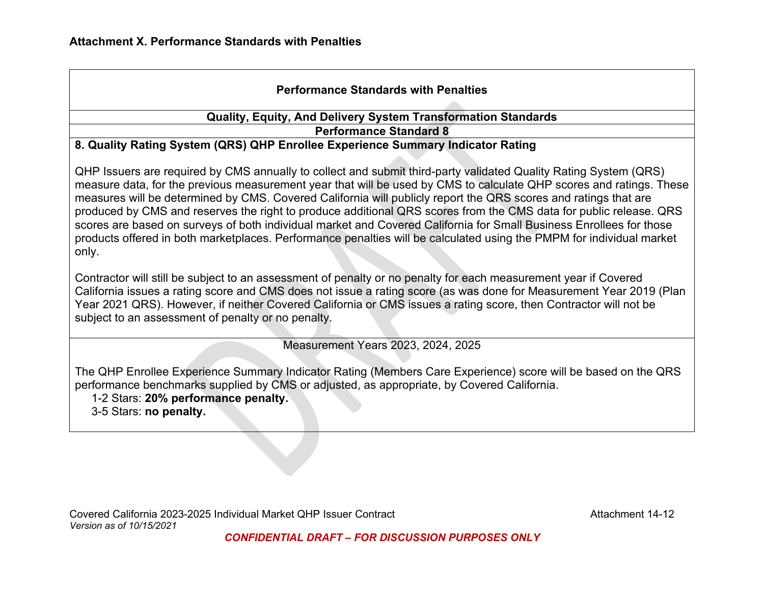# **Performance Standards with Penalties**

#### **Quality, Equity, And Delivery System Transformation Standards Performance Standard 8**

#### **8. Quality Rating System (QRS) QHP Enrollee Experience Summary Indicator Rating**

QHP Issuers are required by CMS annually to collect and submit third-party validated Quality Rating System (QRS) measure data, for the previous measurement year that will be used by CMS to calculate QHP scores and ratings. These measures will be determined by CMS. Covered California will publicly report the QRS scores and ratings that are produced by CMS and reserves the right to produce additional QRS scores from the CMS data for public release. QRS scores are based on surveys of both individual market and Covered California for Small Business Enrollees for those products offered in both marketplaces. Performance penalties will be calculated using the PMPM for individual market only.

Contractor will still be subject to an assessment of penalty or no penalty for each measurement year if Covered California issues a rating score and CMS does not issue a rating score (as was done for Measurement Year 2019 (Plan Year 2021 QRS). However, if neither Covered California or CMS issues a rating score, then Contractor will not be subject to an assessment of penalty or no penalty.

Measurement Years 2023, 2024, 2025

The QHP Enrollee Experience Summary Indicator Rating (Members Care Experience) score will be based on the QRS performance benchmarks supplied by CMS or adjusted, as appropriate, by Covered California.

1-2 Stars: **20% performance penalty.** 

3-5 Stars: **no penalty.**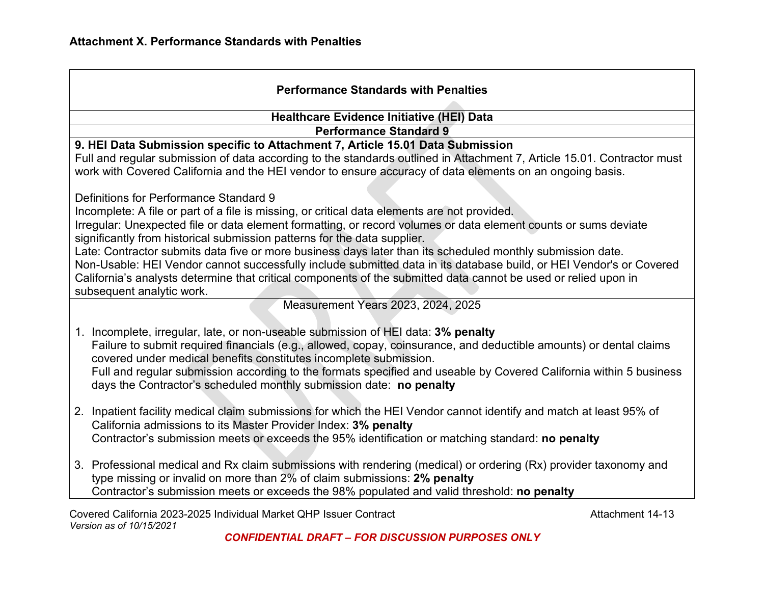| <b>Performance Standards with Penalties</b>                                                                                                                                                                                                                                                                                                                                                                                                                                                                                                                                                                                                                                                                                |                  |  |
|----------------------------------------------------------------------------------------------------------------------------------------------------------------------------------------------------------------------------------------------------------------------------------------------------------------------------------------------------------------------------------------------------------------------------------------------------------------------------------------------------------------------------------------------------------------------------------------------------------------------------------------------------------------------------------------------------------------------------|------------------|--|
| Healthcare Evidence Initiative (HEI) Data                                                                                                                                                                                                                                                                                                                                                                                                                                                                                                                                                                                                                                                                                  |                  |  |
| <b>Performance Standard 9</b>                                                                                                                                                                                                                                                                                                                                                                                                                                                                                                                                                                                                                                                                                              |                  |  |
| 9. HEI Data Submission specific to Attachment 7, Article 15.01 Data Submission<br>Full and regular submission of data according to the standards outlined in Attachment 7, Article 15.01. Contractor must<br>work with Covered California and the HEI vendor to ensure accuracy of data elements on an ongoing basis.                                                                                                                                                                                                                                                                                                                                                                                                      |                  |  |
| Definitions for Performance Standard 9<br>Incomplete: A file or part of a file is missing, or critical data elements are not provided.<br>Irregular: Unexpected file or data element formatting, or record volumes or data element counts or sums deviate<br>significantly from historical submission patterns for the data supplier.<br>Late: Contractor submits data five or more business days later than its scheduled monthly submission date.<br>Non-Usable: HEI Vendor cannot successfully include submitted data in its database build, or HEI Vendor's or Covered<br>California's analysts determine that critical components of the submitted data cannot be used or relied upon in<br>subsequent analytic work. |                  |  |
| Measurement Years 2023, 2024, 2025                                                                                                                                                                                                                                                                                                                                                                                                                                                                                                                                                                                                                                                                                         |                  |  |
| Incomplete, irregular, late, or non-useable submission of HEI data: 3% penalty<br>1.<br>Failure to submit required financials (e.g., allowed, copay, coinsurance, and deductible amounts) or dental claims<br>covered under medical benefits constitutes incomplete submission.<br>Full and regular submission according to the formats specified and useable by Covered California within 5 business<br>days the Contractor's scheduled monthly submission date: no penalty                                                                                                                                                                                                                                               |                  |  |
| 2. Inpatient facility medical claim submissions for which the HEI Vendor cannot identify and match at least 95% of<br>California admissions to its Master Provider Index: 3% penalty<br>Contractor's submission meets or exceeds the 95% identification or matching standard: no penalty                                                                                                                                                                                                                                                                                                                                                                                                                                   |                  |  |
| 3. Professional medical and Rx claim submissions with rendering (medical) or ordering (Rx) provider taxonomy and<br>type missing or invalid on more than 2% of claim submissions: 2% penalty<br>Contractor's submission meets or exceeds the 98% populated and valid threshold: no penalty                                                                                                                                                                                                                                                                                                                                                                                                                                 |                  |  |
| Covered California 2023-2025 Individual Market QHP Issuer Contract                                                                                                                                                                                                                                                                                                                                                                                                                                                                                                                                                                                                                                                         | Attachment 14-13 |  |

*Version as of 10/15/2021*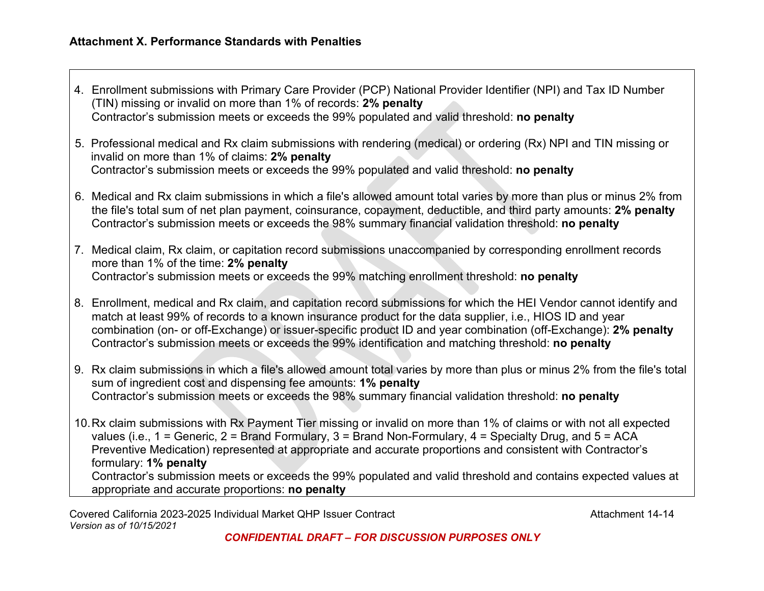- 4. Enrollment submissions with Primary Care Provider (PCP) National Provider Identifier (NPI) and Tax ID Number (TIN) missing or invalid on more than 1% of records: **2% penalty** Contractor's submission meets or exceeds the 99% populated and valid threshold: **no penalty**
- 5. Professional medical and Rx claim submissions with rendering (medical) or ordering (Rx) NPI and TIN missing or invalid on more than 1% of claims: **2% penalty** Contractor's submission meets or exceeds the 99% populated and valid threshold: **no penalty**
- 6. Medical and Rx claim submissions in which a file's allowed amount total varies by more than plus or minus 2% from the file's total sum of net plan payment, coinsurance, copayment, deductible, and third party amounts: **2% penalty** Contractor's submission meets or exceeds the 98% summary financial validation threshold: **no penalty**

7. Medical claim, Rx claim, or capitation record submissions unaccompanied by corresponding enrollment records more than 1% of the time: **2% penalty** Contractor's submission meets or exceeds the 99% matching enrollment threshold: **no penalty**

- 8. Enrollment, medical and Rx claim, and capitation record submissions for which the HEI Vendor cannot identify and match at least 99% of records to a known insurance product for the data supplier, i.e., HIOS ID and year combination (on- or off-Exchange) or issuer-specific product ID and year combination (off-Exchange): **2% penalty** Contractor's submission meets or exceeds the 99% identification and matching threshold: **no penalty**
- 9. Rx claim submissions in which a file's allowed amount total varies by more than plus or minus 2% from the file's total sum of ingredient cost and dispensing fee amounts: **1% penalty** Contractor's submission meets or exceeds the 98% summary financial validation threshold: **no penalty**

10.Rx claim submissions with Rx Payment Tier missing or invalid on more than 1% of claims or with not all expected values (i.e., 1 = Generic, 2 = Brand Formulary, 3 = Brand Non-Formulary, 4 = Specialty Drug, and 5 = ACA Preventive Medication) represented at appropriate and accurate proportions and consistent with Contractor's formulary: **1% penalty** Contractor's submission meets or exceeds the 99% populated and valid threshold and contains expected values at appropriate and accurate proportions: **no penalty**

Covered California 2023-2025 Individual Market QHP Issuer Contract Contract Contract Attachment 14-14 *Version as of 10/15/2021*